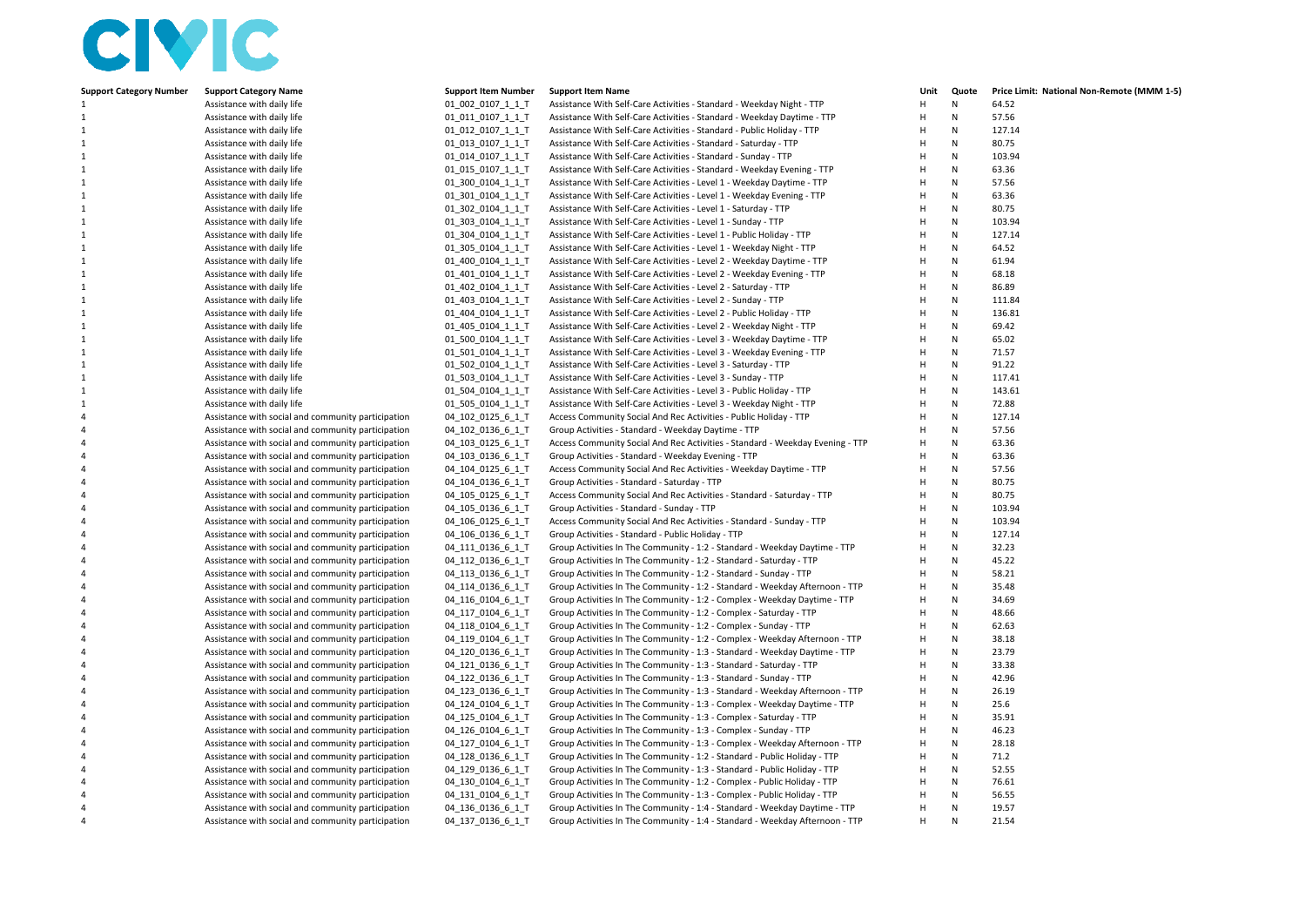## CIVIC

| <b>Support Category Number</b> | <b>Support Category Name</b>                       | <b>Support Item Number</b> | <b>Support Item Name</b>                                                      | Unit           | Quote        | Price Limit: National Non-Remote (MMM 1-5) |
|--------------------------------|----------------------------------------------------|----------------------------|-------------------------------------------------------------------------------|----------------|--------------|--------------------------------------------|
| 1                              | Assistance with daily life                         | 01 002 0107 1 1 T          | Assistance With Self-Care Activities - Standard - Weekday Night - TTP         | H              | Ν            | 64.52                                      |
| $\mathbf{1}$                   | Assistance with daily life                         | 01 011 0107 1 1 T          | Assistance With Self-Care Activities - Standard - Weekday Daytime - TTP       | H              | N            | 57.56                                      |
| $\mathbf{1}$                   | Assistance with daily life                         | 01 012 0107 1 1 T          | Assistance With Self-Care Activities - Standard - Public Holiday - TTP        | H              | N            | 127.14                                     |
| 1                              | Assistance with daily life                         | 01_013_0107_1_1_T          | Assistance With Self-Care Activities - Standard - Saturday - TTP              | H              | Ν            | 80.75                                      |
| 1                              | Assistance with daily life                         | 01_014_0107_1_1_T          | Assistance With Self-Care Activities - Standard - Sunday - TTP                | $\overline{H}$ | Ν            | 103.94                                     |
| $\mathbf{1}$                   | Assistance with daily life                         | 01 015 0107 1 1 T          | Assistance With Self-Care Activities - Standard - Weekday Evening - TTP       | H              | N            | 63.36                                      |
| $\mathbf{1}$                   | Assistance with daily life                         | 01 300 0104 1 1 T          | Assistance With Self-Care Activities - Level 1 - Weekday Daytime - TTP        | H              | N            | 57.56                                      |
| 1                              | Assistance with daily life                         | 01 301 0104 1 1 T          | Assistance With Self-Care Activities - Level 1 - Weekday Evening - TTP        | H              | N            | 63.36                                      |
| 1                              | Assistance with daily life                         | 01_302_0104_1_1_T          | Assistance With Self-Care Activities - Level 1 - Saturday - TTP               | H              | N            | 80.75                                      |
| $\mathbf{1}$                   | Assistance with daily life                         | 01 303 0104 1 1 T          | Assistance With Self-Care Activities - Level 1 - Sunday - TTP                 | H              | N            | 103.94                                     |
| 1                              | Assistance with daily life                         | 01_304_0104_1_1_T          | Assistance With Self-Care Activities - Level 1 - Public Holiday - TTP         | H              | $\mathsf{N}$ | 127.14                                     |
| 1                              | Assistance with daily life                         | 01_305_0104_1_1_T          | Assistance With Self-Care Activities - Level 1 - Weekday Night - TTP          | H              | N            | 64.52                                      |
| $\mathbf{1}$                   | Assistance with daily life                         | 01_400_0104_1_1_T          | Assistance With Self-Care Activities - Level 2 - Weekday Daytime - TTP        | H              | N            | 61.94                                      |
| $\mathbf{1}$                   | Assistance with daily life                         | 01 401 0104 1 1 T          | Assistance With Self-Care Activities - Level 2 - Weekday Evening - TTP        | H              | N            | 68.18                                      |
| $\mathbf{1}$                   | Assistance with daily life                         | 01_402_0104_1_1_T          | Assistance With Self-Care Activities - Level 2 - Saturday - TTP               | H              | N            | 86.89                                      |
| 1                              | Assistance with daily life                         | 01_403_0104_1_1_T          | Assistance With Self-Care Activities - Level 2 - Sunday - TTP                 | H              | Ν            | 111.84                                     |
| $\mathbf{1}$                   | Assistance with daily life                         | 01_404_0104_1_1_T          | Assistance With Self-Care Activities - Level 2 - Public Holiday - TTP         | H              | N            | 136.81                                     |
| $\mathbf{1}$                   | Assistance with daily life                         | 01_405_0104_1_1_T          | Assistance With Self-Care Activities - Level 2 - Weekday Night - TTP          | H              | $\mathsf{N}$ | 69.42                                      |
| $\mathbf{1}$                   | Assistance with daily life                         | 01 500 0104 1 1 T          | Assistance With Self-Care Activities - Level 3 - Weekday Daytime - TTP        | H              | N            | 65.02                                      |
| $\mathbf{1}$                   | Assistance with daily life                         | 01 501 0104 1 1 T          | Assistance With Self-Care Activities - Level 3 - Weekday Evening - TTP        | H              | N            | 71.57                                      |
| $\mathbf{1}$                   | Assistance with daily life                         | 01 502 0104 1 1 T          | Assistance With Self-Care Activities - Level 3 - Saturday - TTP               | H              | N            | 91.22                                      |
| $\mathbf{1}$                   | Assistance with daily life                         | 01_503_0104_1_1_T          | Assistance With Self-Care Activities - Level 3 - Sunday - TTP                 | $\mathsf H$    | $\mathsf{N}$ | 117.41                                     |
| 1                              | Assistance with daily life                         | 01_504_0104_1_1_T          | Assistance With Self-Care Activities - Level 3 - Public Holiday - TTP         | н              | N            | 143.61                                     |
| 1                              | Assistance with daily life                         | 01_505_0104_1_1_T          | Assistance With Self-Care Activities - Level 3 - Weekday Night - TTP          | H              | N            | 72.88                                      |
| $\overline{4}$                 | Assistance with social and community participation | 04 102 0125 6 1 T          | Access Community Social And Rec Activities - Public Holiday - TTP             | H              | N            | 127.14                                     |
| $\overline{4}$                 | Assistance with social and community participation | 04 102 0136 6 1 T          | Group Activities - Standard - Weekday Daytime - TTP                           | H              | N            | 57.56                                      |
| $\overline{4}$                 | Assistance with social and community participation | 04 103 0125 6 1 T          | Access Community Social And Rec Activities - Standard - Weekday Evening - TTP | H              | N            | 63.36                                      |
| $\overline{4}$                 | Assistance with social and community participation | 04_103_0136_6_1_T          | Group Activities - Standard - Weekday Evening - TTP                           | H              | N            | 63.36                                      |
| $\overline{4}$                 | Assistance with social and community participation | 04 104 0125 6 1 T          | Access Community Social And Rec Activities - Weekday Daytime - TTP            | H              | N            | 57.56                                      |
| $\overline{4}$                 | Assistance with social and community participation | 04 104 0136 6 1 T          | Group Activities - Standard - Saturday - TTP                                  | H              | N            | 80.75                                      |
| $\overline{4}$                 | Assistance with social and community participation | 04_105_0125_6_1_T          | Access Community Social And Rec Activities - Standard - Saturday - TTP        | H              | N            | 80.75                                      |
| $\overline{4}$                 | Assistance with social and community participation | 04_105_0136_6_1_T          | Group Activities - Standard - Sunday - TTP                                    | H              | N            | 103.94                                     |
| $\overline{4}$                 | Assistance with social and community participation | 04 106 0125 6 1 T          | Access Community Social And Rec Activities - Standard - Sunday - TTP          | H              | N            | 103.94                                     |
| $\overline{4}$                 | Assistance with social and community participation | 04_106_0136_6_1_T          | Group Activities - Standard - Public Holiday - TTP                            | H              | N            | 127.14                                     |
| $\overline{4}$                 | Assistance with social and community participation | 04_111_0136_6_1_T          | Group Activities In The Community - 1:2 - Standard - Weekday Daytime - TTP    | H              | N            | 32.23                                      |
| $\overline{4}$                 | Assistance with social and community participation | 04_112_0136_6_1_T          | Group Activities In The Community - 1:2 - Standard - Saturday - TTP           | H              | N            | 45.22                                      |
| $\overline{4}$                 | Assistance with social and community participation | 04 113 0136 6 1 T          | Group Activities In The Community - 1:2 - Standard - Sunday - TTP             | H              | N            | 58.21                                      |
| $\overline{4}$                 | Assistance with social and community participation | 04_114_0136_6_1_T          | Group Activities In The Community - 1:2 - Standard - Weekday Afternoon - TTP  | H              | N            | 35.48                                      |
| $\overline{4}$                 | Assistance with social and community participation | 04_116_0104_6_1_T          | Group Activities In The Community - 1:2 - Complex - Weekday Daytime - TTP     | H              | N            | 34.69                                      |
| $\overline{4}$                 | Assistance with social and community participation | 04_117_0104_6_1_T          | Group Activities In The Community - 1:2 - Complex - Saturday - TTP            | H              | N            | 48.66                                      |
| $\overline{4}$                 | Assistance with social and community participation | 04 118 0104 6 1 T          | Group Activities In The Community - 1:2 - Complex - Sunday - TTP              | H              | N            | 62.63                                      |
| $\overline{4}$                 | Assistance with social and community participation | 04_119_0104_6_1_T          | Group Activities In The Community - 1:2 - Complex - Weekday Afternoon - TTP   | H              | N            | 38.18                                      |
| $\overline{4}$                 | Assistance with social and community participation | 04_120_0136_6_1_T          | Group Activities In The Community - 1:3 - Standard - Weekday Daytime - TTP    | H              | N            | 23.79                                      |
| $\overline{4}$                 | Assistance with social and community participation | 04_121_0136_6_1_T          | Group Activities In The Community - 1:3 - Standard - Saturday - TTP           | H              | N            | 33.38                                      |
| $\overline{4}$                 | Assistance with social and community participation | 04 122 0136 6 1 T          | Group Activities In The Community - 1:3 - Standard - Sunday - TTP             | H              | N            | 42.96                                      |
| $\overline{4}$                 | Assistance with social and community participation | 04_123_0136_6_1_T          | Group Activities In The Community - 1:3 - Standard - Weekday Afternoon - TTP  | H              | N            | 26.19                                      |
| $\overline{4}$                 | Assistance with social and community participation | 04_124_0104_6_1_T          | Group Activities In The Community - 1:3 - Complex - Weekday Daytime - TTP     | $\overline{H}$ | N            | 25.6                                       |
| $\overline{4}$                 | Assistance with social and community participation | 04 125 0104 6 1 T          | Group Activities In The Community - 1:3 - Complex - Saturday - TTP            | H              | N            | 35.91                                      |
| $\overline{4}$                 | Assistance with social and community participation | 04 126 0104 6 1 T          | Group Activities In The Community - 1:3 - Complex - Sunday - TTP              | H              | N            | 46.23                                      |
| $\overline{4}$                 | Assistance with social and community participation | 04 127 0104 6 1 T          | Group Activities In The Community - 1:3 - Complex - Weekday Afternoon - TTP   | H              | N            | 28.18                                      |
| $\overline{4}$                 | Assistance with social and community participation | 04_128_0136_6_1_T          | Group Activities In The Community - 1:2 - Standard - Public Holiday - TTP     | H              | N            | 71.2                                       |
| $\overline{4}$                 | Assistance with social and community participation | 04 129 0136 6 1 T          | Group Activities In The Community - 1:3 - Standard - Public Holiday - TTP     | H              | $\mathsf{N}$ | 52.55                                      |
| $\overline{4}$                 | Assistance with social and community participation | 04 130 0104 6 1 T          | Group Activities In The Community - 1:2 - Complex - Public Holiday - TTP      | $\overline{H}$ | N            | 76.61                                      |
| $\overline{4}$                 | Assistance with social and community participation | 04_131_0104_6_1_T          | Group Activities In The Community - 1:3 - Complex - Public Holiday - TTP      | H              | N            | 56.55                                      |
| $\overline{4}$                 | Assistance with social and community participation | 04_136_0136_6_1_T          | Group Activities In The Community - 1:4 - Standard - Weekday Daytime - TTP    | H              | N            | 19.57                                      |
| $\overline{4}$                 | Assistance with social and community participation | 04 137 0136 6 1 T          | Group Activities In The Community - 1:4 - Standard - Weekday Afternoon - TTP  | H              | N            | 21.54                                      |
|                                |                                                    |                            |                                                                               |                |              |                                            |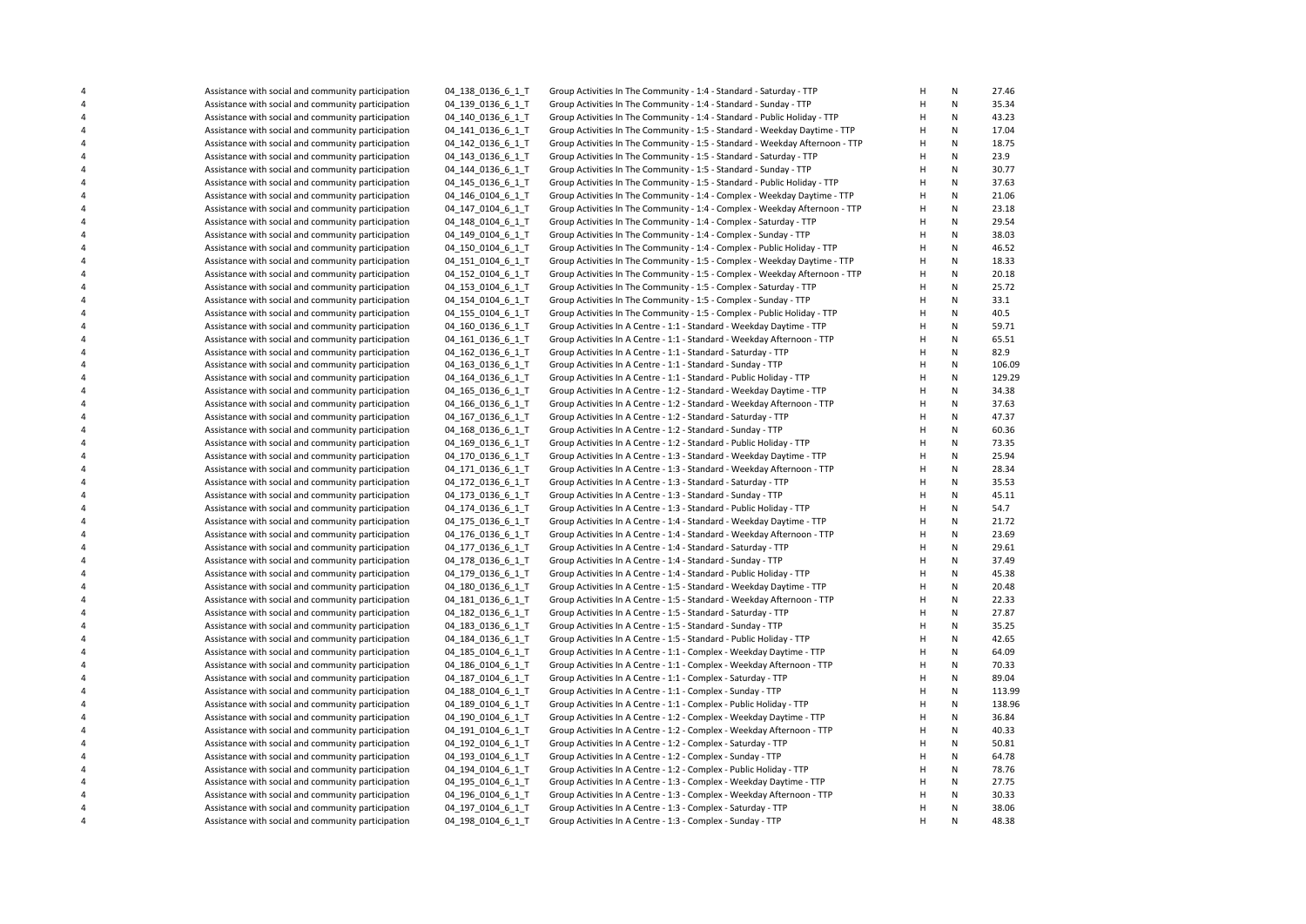|                         | Assistance with social and community participation | 04_138_0136_6_1_T | Group Activities In The Community - 1:4 - Standard - Saturday - TTP          | Н              | ${\sf N}$    | 27.46  |
|-------------------------|----------------------------------------------------|-------------------|------------------------------------------------------------------------------|----------------|--------------|--------|
|                         | Assistance with social and community participation | 04_139_0136_6_1_T | Group Activities In The Community - 1:4 - Standard - Sunday - TTP            | Н              | ${\sf N}$    | 35.34  |
| 4                       | Assistance with social and community participation | 04 140 0136 6 1 T | Group Activities In The Community - 1:4 - Standard - Public Holiday - TTP    | H              | ${\sf N}$    | 43.23  |
|                         |                                                    |                   |                                                                              | H              | ${\sf N}$    |        |
| 4                       | Assistance with social and community participation | 04 141 0136 6 1 T | Group Activities In The Community - 1:5 - Standard - Weekday Daytime - TTP   |                | $\mathsf{N}$ | 17.04  |
| 4                       | Assistance with social and community participation | 04 142 0136 6 1 T | Group Activities In The Community - 1:5 - Standard - Weekday Afternoon - TTP | Н              |              | 18.75  |
| 4                       | Assistance with social and community participation | 04 143 0136 6 1 T | Group Activities In The Community - 1:5 - Standard - Saturday - TTP          | Н              | ${\sf N}$    | 23.9   |
| 4                       | Assistance with social and community participation | 04_144_0136_6_1_T | Group Activities In The Community - 1:5 - Standard - Sunday - TTP            | H              | $\mathsf{N}$ | 30.77  |
| $\overline{\mathbf{4}}$ | Assistance with social and community participation | 04_145_0136_6 1 T | Group Activities In The Community - 1:5 - Standard - Public Holiday - TTP    | Н              | ${\sf N}$    | 37.63  |
| 4                       | Assistance with social and community participation | 04 146 0104 6 1 T | Group Activities In The Community - 1:4 - Complex - Weekday Daytime - TTP    | Н              | ${\sf N}$    | 21.06  |
| $\overline{4}$          | Assistance with social and community participation | 04_147_0104_6_1_T | Group Activities In The Community - 1:4 - Complex - Weekday Afternoon - TTP  | H              | ${\sf N}$    | 23.18  |
| 4                       | Assistance with social and community participation | 04 148 0104 6 1 T | Group Activities In The Community - 1:4 - Complex - Saturday - TTP           | Н              | ${\sf N}$    | 29.54  |
| $\overline{\mathbf{4}}$ | Assistance with social and community participation | 04 149 0104 6 1 T | Group Activities In The Community - 1:4 - Complex - Sunday - TTP             | H              | $\mathsf{N}$ | 38.03  |
| $\overline{\mathbf{4}}$ | Assistance with social and community participation | 04 150 0104 6 1 T | Group Activities In The Community - 1:4 - Complex - Public Holiday - TTP     | H              | ${\sf N}$    | 46.52  |
|                         | Assistance with social and community participation | 04_151_0104_6_1_T | Group Activities In The Community - 1:5 - Complex - Weekday Daytime - TTP    | H              | $\mathsf{N}$ | 18.33  |
| $\overline{\mathbf{4}}$ | Assistance with social and community participation | 04 152 0104 6 1 T | Group Activities In The Community - 1:5 - Complex - Weekday Afternoon - TTP  | H              | $\mathsf{N}$ | 20.18  |
| $\overline{\mathbf{4}}$ | Assistance with social and community participation | 04_153_0104_6_1_T | Group Activities In The Community - 1:5 - Complex - Saturday - TTP           | Н              | ${\sf N}$    | 25.72  |
| $\overline{4}$          | Assistance with social and community participation | 04 154 0104 6 1 T | Group Activities In The Community - 1:5 - Complex - Sunday - TTP             | H              | ${\sf N}$    | 33.1   |
|                         |                                                    |                   |                                                                              | Н              | ${\sf N}$    |        |
| $\overline{\mathbf{4}}$ | Assistance with social and community participation | 04 155 0104 6 1 T | Group Activities In The Community - 1:5 - Complex - Public Holiday - TTP     |                |              | 40.5   |
| $\overline{\mathbf{4}}$ | Assistance with social and community participation | 04_160_0136_6_1_T | Group Activities In A Centre - 1:1 - Standard - Weekday Daytime - TTP        | $\overline{H}$ | N            | 59.71  |
| $\overline{\mathbf{4}}$ | Assistance with social and community participation | 04 161 0136 6 1 T | Group Activities In A Centre - 1:1 - Standard - Weekday Afternoon - TTP      | H              | $\mathsf{N}$ | 65.51  |
| 4                       | Assistance with social and community participation | 04_162_0136_6_1_T | Group Activities In A Centre - 1:1 - Standard - Saturday - TTP               | Н              | ${\sf N}$    | 82.9   |
| $\overline{\mathbf{4}}$ | Assistance with social and community participation | 04 163 0136 6 1 T | Group Activities In A Centre - 1:1 - Standard - Sunday - TTP                 | H              | $\mathsf{N}$ | 106.09 |
| $\overline{\mathbf{4}}$ | Assistance with social and community participation | 04 164 0136 6 1 T | Group Activities In A Centre - 1:1 - Standard - Public Holiday - TTP         | H              | ${\sf N}$    | 129.29 |
|                         | Assistance with social and community participation | 04 165 0136 6 1 T | Group Activities In A Centre - 1:2 - Standard - Weekday Daytime - TTP        | H              | $\mathsf{N}$ | 34.38  |
| $\overline{\mathbf{4}}$ | Assistance with social and community participation | 04 166 0136 6 1 T | Group Activities In A Centre - 1:2 - Standard - Weekday Afternoon - TTP      | H              | $\mathsf{N}$ | 37.63  |
| $\pmb{4}$               | Assistance with social and community participation | 04_167_0136_6_1_T | Group Activities In A Centre - 1:2 - Standard - Saturday - TTP               | $\mathsf{H}$   | ${\sf N}$    | 47.37  |
| $\overline{4}$          | Assistance with social and community participation | 04 168 0136 6 1 T | Group Activities In A Centre - 1:2 - Standard - Sunday - TTP                 | H              | ${\sf N}$    | 60.36  |
| $\overline{\mathbf{4}}$ | Assistance with social and community participation | 04 169 0136 6 1 T | Group Activities In A Centre - 1:2 - Standard - Public Holiday - TTP         | Н              | ${\sf N}$    | 73.35  |
| $\overline{\mathbf{4}}$ | Assistance with social and community participation | 04 170 0136 6 1 T | Group Activities In A Centre - 1:3 - Standard - Weekday Daytime - TTP        | H              | N            | 25.94  |
| $\overline{\mathbf{4}}$ | Assistance with social and community participation | 04 171 0136 6 1 T | Group Activities In A Centre - 1:3 - Standard - Weekday Afternoon - TTP      | Н              | ${\sf N}$    | 28.34  |
| $\overline{\mathbf{4}}$ | Assistance with social and community participation | 04 172 0136 6 1 T | Group Activities In A Centre - 1:3 - Standard - Saturday - TTP               | $\overline{H}$ | $\mathsf{N}$ | 35.53  |
|                         |                                                    |                   |                                                                              | H              | ${\sf N}$    | 45.11  |
| 4                       | Assistance with social and community participation | 04 173 0136 6 1 T | Group Activities In A Centre - 1:3 - Standard - Sunday - TTP                 |                |              |        |
| $\overline{\mathbf{4}}$ | Assistance with social and community participation | 04_174_0136_6_1_T | Group Activities In A Centre - 1:3 - Standard - Public Holiday - TTP         | $\overline{H}$ | ${\sf N}$    | 54.7   |
|                         | Assistance with social and community participation | 04_175_0136_6_1_T | Group Activities In A Centre - 1:4 - Standard - Weekday Daytime - TTP        | H              | $\mathsf{N}$ | 21.72  |
| $\overline{\mathbf{4}}$ | Assistance with social and community participation | 04 176 0136 6 1 T | Group Activities In A Centre - 1:4 - Standard - Weekday Afternoon - TTP      | Н              | ${\sf N}$    | 23.69  |
| $\overline{\mathbf{4}}$ | Assistance with social and community participation | 04 177 0136 6 1 T | Group Activities In A Centre - 1:4 - Standard - Saturday - TTP               | H              | ${\sf N}$    | 29.61  |
| $\overline{\mathbf{4}}$ | Assistance with social and community participation | 04 178 0136 6 1 T | Group Activities In A Centre - 1:4 - Standard - Sunday - TTP                 | H              | ${\sf N}$    | 37.49  |
| $\overline{4}$          | Assistance with social and community participation | 04_179_0136_6_1_T | Group Activities In A Centre - 1:4 - Standard - Public Holiday - TTP         | H              | $\mathsf{N}$ | 45.38  |
| $\overline{\mathbf{4}}$ | Assistance with social and community participation | 04_180_0136_6_1_T | Group Activities In A Centre - 1:5 - Standard - Weekday Daytime - TTP        | H              | ${\sf N}$    | 20.48  |
| $\overline{\mathbf{4}}$ | Assistance with social and community participation | 04_181_0136_6_1_T | Group Activities In A Centre - 1:5 - Standard - Weekday Afternoon - TTP      | Н              | ${\sf N}$    | 22.33  |
| $\overline{\mathbf{4}}$ | Assistance with social and community participation | 04 182 0136 6 1 T | Group Activities In A Centre - 1:5 - Standard - Saturday - TTP               | H              | ${\sf N}$    | 27.87  |
| $\overline{\mathbf{4}}$ | Assistance with social and community participation | 04 183 0136 6 1 T | Group Activities In A Centre - 1:5 - Standard - Sunday - TTP                 | $\overline{H}$ | ${\sf N}$    | 35.25  |
| $\overline{4}$          | Assistance with social and community participation | 04 184 0136 6 1 T | Group Activities In A Centre - 1:5 - Standard - Public Holiday - TTP         | H              | $\mathsf{N}$ | 42.65  |
| $\overline{\mathbf{4}}$ | Assistance with social and community participation | 04_185_0104_6_1_T | Group Activities In A Centre - 1:1 - Complex - Weekday Daytime - TTP         | H              | ${\sf N}$    | 64.09  |
| $\pmb{4}$               | Assistance with social and community participation | 04_186_0104_6_1_T | Group Activities In A Centre - 1:1 - Complex - Weekday Afternoon - TTP       | $\mathsf{H}$   | $\mathsf{N}$ | 70.33  |
| $\overline{\mathbf{4}}$ |                                                    | 04 187 0104 6 1 T | Group Activities In A Centre - 1:1 - Complex - Saturday - TTP                | H              | ${\sf N}$    | 89.04  |
|                         | Assistance with social and community participation |                   |                                                                              |                |              |        |
| 4                       | Assistance with social and community participation | 04 188 0104 6 1 T | Group Activities In A Centre - 1:1 - Complex - Sunday - TTP                  | H              | ${\sf N}$    | 113.99 |
| $\overline{\mathbf{4}}$ | Assistance with social and community participation | 04 189 0104 6 1 T | Group Activities In A Centre - 1:1 - Complex - Public Holiday - TTP          | H              | $\mathsf{N}$ | 138.96 |
| 4                       | Assistance with social and community participation | 04_190_0104_6_1_T | Group Activities In A Centre - 1:2 - Complex - Weekday Daytime - TTP         | Н              | ${\sf N}$    | 36.84  |
| $\overline{4}$          | Assistance with social and community participation | 04_191_0104_6_1_T | Group Activities In A Centre - 1:2 - Complex - Weekday Afternoon - TTP       | H              | ${\sf N}$    | 40.33  |
| $\overline{\mathbf{4}}$ | Assistance with social and community participation | 04 192 0104 6 1 T | Group Activities In A Centre - 1:2 - Complex - Saturday - TTP                | Н              | ${\sf N}$    | 50.81  |
| $\overline{\mathbf{4}}$ | Assistance with social and community participation | 04 193 0104 6 1 T | Group Activities In A Centre - 1:2 - Complex - Sunday - TTP                  | $\overline{H}$ | ${\sf N}$    | 64.78  |
| $\overline{4}$          | Assistance with social and community participation | 04_194_0104_6_1_T | Group Activities In A Centre - 1:2 - Complex - Public Holiday - TTP          | H              | ${\sf N}$    | 78.76  |
| 4                       | Assistance with social and community participation | 04 195 0104 6 1 T | Group Activities In A Centre - 1:3 - Complex - Weekday Daytime - TTP         | Н              | ${\sf N}$    | 27.75  |
| $\overline{\mathbf{4}}$ | Assistance with social and community participation | 04 196 0104 6 1 T | Group Activities In A Centre - 1:3 - Complex - Weekday Afternoon - TTP       | H              | ${\sf N}$    | 30.33  |
| $\overline{\mathbf{4}}$ | Assistance with social and community participation | 04 197 0104 6 1 T | Group Activities In A Centre - 1:3 - Complex - Saturday - TTP                | H              | ${\sf N}$    | 38.06  |
|                         | Assistance with social and community participation | 04_198_0104_6_1_T | Group Activities In A Centre - 1:3 - Complex - Sunday - TTP                  | H              | $\mathsf{N}$ | 48.38  |
|                         |                                                    |                   |                                                                              |                |              |        |